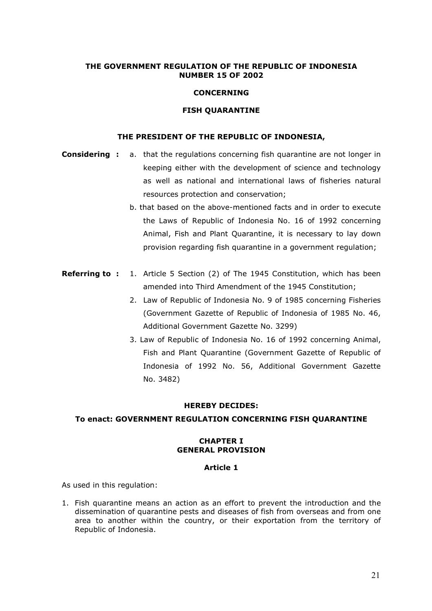## THE GOVERNMENT REGULATION OF THE REPUBLIC OF INDONESIA NUMBER 15 OF 2002

### **CONCERNING**

#### FISH QUARANTINE

## THE PRESIDENT OF THE REPUBLIC OF INDONESIA,

- **Considering :** a. that the regulations concerning fish quarantine are not longer in keeping either with the development of science and technology as well as national and international laws of fisheries natural resources protection and conservation;
	- b. that based on the above-mentioned facts and in order to execute the Laws of Republic of Indonesia No. 16 of 1992 concerning Animal, Fish and Plant Quarantine, it is necessary to lay down provision regarding fish quarantine in a government regulation;
- **Referring to :** 1. Article 5 Section (2) of The 1945 Constitution, which has been amended into Third Amendment of the 1945 Constitution;
	- 2. Law of Republic of Indonesia No. 9 of 1985 concerning Fisheries (Government Gazette of Republic of Indonesia of 1985 No. 46, Additional Government Gazette No. 3299)
	- 3. Law of Republic of Indonesia No. 16 of 1992 concerning Animal, Fish and Plant Quarantine (Government Gazette of Republic of Indonesia of 1992 No. 56, Additional Government Gazette No. 3482)

#### HEREBY DECIDES:

#### To enact: GOVERNMENT REGULATION CONCERNING FISH QUARANTINE

#### CHAPTER I GENERAL PROVISION

#### Article 1

As used in this regulation:

1. Fish quarantine means an action as an effort to prevent the introduction and the dissemination of quarantine pests and diseases of fish from overseas and from one area to another within the country, or their exportation from the territory of Republic of Indonesia.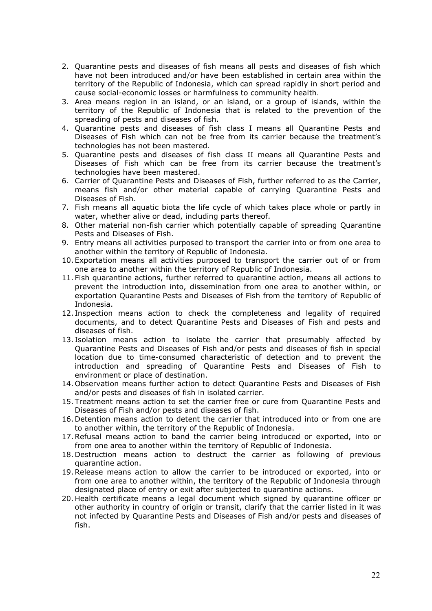- 2. Quarantine pests and diseases of fish means all pests and diseases of fish which have not been introduced and/or have been established in certain area within the territory of the Republic of Indonesia, which can spread rapidly in short period and cause social-economic losses or harmfulness to community health.
- 3. Area means region in an island, or an island, or a group of islands, within the territory of the Republic of Indonesia that is related to the prevention of the spreading of pests and diseases of fish.
- 4. Quarantine pests and diseases of fish class I means all Quarantine Pests and Diseases of Fish which can not be free from its carrier because the treatment's technologies has not been mastered.
- 5. Quarantine pests and diseases of fish class II means all Quarantine Pests and Diseases of Fish which can be free from its carrier because the treatment's technologies have been mastered.
- 6. Carrier of Quarantine Pests and Diseases of Fish, further referred to as the Carrier, means fish and/or other material capable of carrying Quarantine Pests and Diseases of Fish.
- 7. Fish means all aquatic biota the life cycle of which takes place whole or partly in water, whether alive or dead, including parts thereof.
- 8. Other material non-fish carrier which potentially capable of spreading Quarantine Pests and Diseases of Fish.
- 9. Entry means all activities purposed to transport the carrier into or from one area to another within the territory of Republic of Indonesia.
- 10. Exportation means all activities purposed to transport the carrier out of or from one area to another within the territory of Republic of Indonesia.
- 11. Fish quarantine actions, further referred to quarantine action, means all actions to prevent the introduction into, dissemination from one area to another within, or exportation Quarantine Pests and Diseases of Fish from the territory of Republic of Indonesia.
- 12. Inspection means action to check the completeness and legality of required documents, and to detect Quarantine Pests and Diseases of Fish and pests and diseases of fish.
- 13. Isolation means action to isolate the carrier that presumably affected by Quarantine Pests and Diseases of Fish and/or pests and diseases of fish in special location due to time-consumed characteristic of detection and to prevent the introduction and spreading of Quarantine Pests and Diseases of Fish to environment or place of destination.
- 14. Observation means further action to detect Quarantine Pests and Diseases of Fish and/or pests and diseases of fish in isolated carrier.
- 15. Treatment means action to set the carrier free or cure from Quarantine Pests and Diseases of Fish and/or pests and diseases of fish.
- 16. Detention means action to detent the carrier that introduced into or from one are to another within, the territory of the Republic of Indonesia.
- 17.Refusal means action to band the carrier being introduced or exported, into or from one area to another within the territory of Republic of Indonesia.
- 18. Destruction means action to destruct the carrier as following of previous quarantine action.
- 19.Release means action to allow the carrier to be introduced or exported, into or from one area to another within, the territory of the Republic of Indonesia through designated place of entry or exit after subjected to quarantine actions.
- 20. Health certificate means a legal document which signed by quarantine officer or other authority in country of origin or transit, clarify that the carrier listed in it was not infected by Quarantine Pests and Diseases of Fish and/or pests and diseases of fish.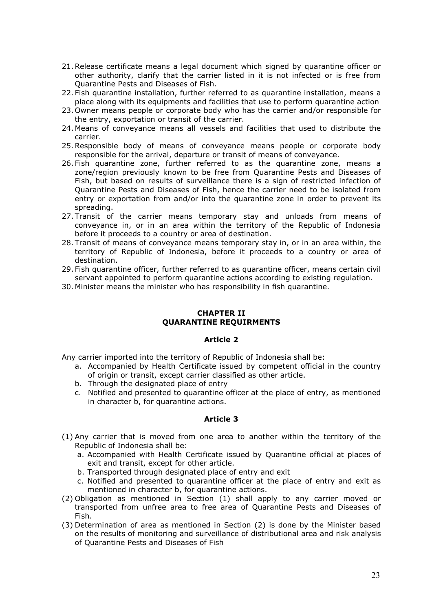- 21.Release certificate means a legal document which signed by quarantine officer or other authority, clarify that the carrier listed in it is not infected or is free from Quarantine Pests and Diseases of Fish.
- 22. Fish quarantine installation, further referred to as quarantine installation, means a place along with its equipments and facilities that use to perform quarantine action
- 23. Owner means people or corporate body who has the carrier and/or responsible for the entry, exportation or transit of the carrier.
- 24. Means of conveyance means all vessels and facilities that used to distribute the carrier.
- 25.Responsible body of means of conveyance means people or corporate body responsible for the arrival, departure or transit of means of conveyance.
- 26. Fish quarantine zone, further referred to as the quarantine zone, means a zone/region previously known to be free from Quarantine Pests and Diseases of Fish, but based on results of surveillance there is a sign of restricted infection of Quarantine Pests and Diseases of Fish, hence the carrier need to be isolated from entry or exportation from and/or into the quarantine zone in order to prevent its spreading.
- 27. Transit of the carrier means temporary stay and unloads from means of conveyance in, or in an area within the territory of the Republic of Indonesia before it proceeds to a country or area of destination.
- 28. Transit of means of conveyance means temporary stay in, or in an area within, the territory of Republic of Indonesia, before it proceeds to a country or area of destination.
- 29. Fish quarantine officer, further referred to as quarantine officer, means certain civil servant appointed to perform quarantine actions according to existing regulation.
- 30. Minister means the minister who has responsibility in fish quarantine.

### CHAPTER II QUARANTINE REQUIRMENTS

### Article 2

Any carrier imported into the territory of Republic of Indonesia shall be:

- a. Accompanied by Health Certificate issued by competent official in the country of origin or transit, except carrier classified as other article.
- b. Through the designated place of entry
- c. Notified and presented to quarantine officer at the place of entry, as mentioned in character b, for quarantine actions.

- (1) Any carrier that is moved from one area to another within the territory of the Republic of Indonesia shall be:
	- a. Accompanied with Health Certificate issued by Quarantine official at places of exit and transit, except for other article.
	- b. Transported through designated place of entry and exit
	- c. Notified and presented to quarantine officer at the place of entry and exit as mentioned in character b, for quarantine actions.
- (2) Obligation as mentioned in Section (1) shall apply to any carrier moved or transported from unfree area to free area of Quarantine Pests and Diseases of Fish.
- (3) Determination of area as mentioned in Section (2) is done by the Minister based on the results of monitoring and surveillance of distributional area and risk analysis of Quarantine Pests and Diseases of Fish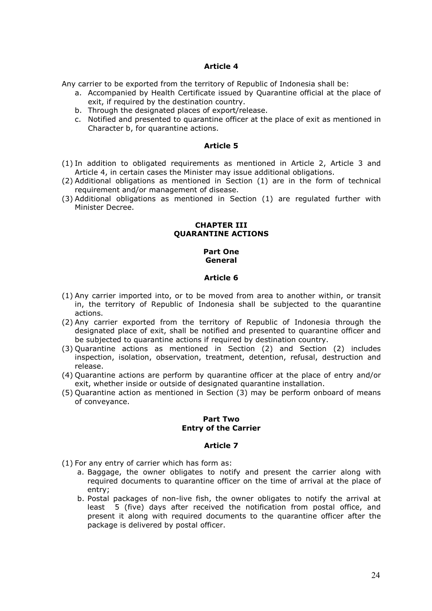Any carrier to be exported from the territory of Republic of Indonesia shall be:

- a. Accompanied by Health Certificate issued by Quarantine official at the place of exit, if required by the destination country.
- b. Through the designated places of export/release.
- c. Notified and presented to quarantine officer at the place of exit as mentioned in Character b, for quarantine actions.

### Article 5

- (1) In addition to obligated requirements as mentioned in Article 2, Article 3 and Article 4, in certain cases the Minister may issue additional obligations.
- (2) Additional obligations as mentioned in Section (1) are in the form of technical requirement and/or management of disease.
- (3) Additional obligations as mentioned in Section (1) are regulated further with Minister Decree.

#### CHAPTER III QUARANTINE ACTIONS

#### Part One General

#### Article 6

- (1) Any carrier imported into, or to be moved from area to another within, or transit in, the territory of Republic of Indonesia shall be subjected to the quarantine actions.
- (2) Any carrier exported from the territory of Republic of Indonesia through the designated place of exit, shall be notified and presented to quarantine officer and be subjected to quarantine actions if required by destination country.
- (3) Quarantine actions as mentioned in Section (2) and Section (2) includes inspection, isolation, observation, treatment, detention, refusal, destruction and release.
- (4) Quarantine actions are perform by quarantine officer at the place of entry and/or exit, whether inside or outside of designated quarantine installation.
- (5) Quarantine action as mentioned in Section (3) may be perform onboard of means of conveyance.

### Part Two Entry of the Carrier

- (1) For any entry of carrier which has form as:
	- a. Baggage, the owner obligates to notify and present the carrier along with required documents to quarantine officer on the time of arrival at the place of entry;
	- b. Postal packages of non-live fish, the owner obligates to notify the arrival at least 5 (five) days after received the notification from postal office, and present it along with required documents to the quarantine officer after the package is delivered by postal officer.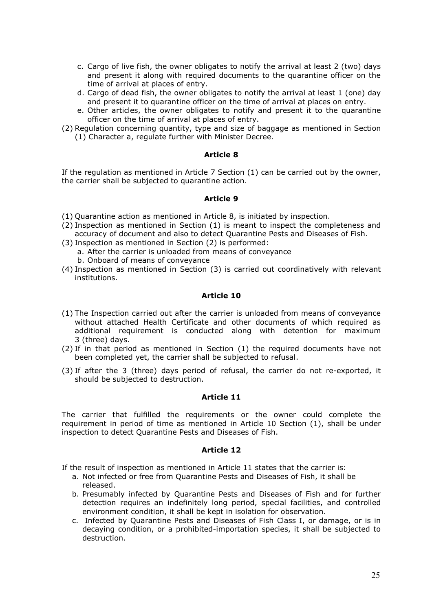- c. Cargo of live fish, the owner obligates to notify the arrival at least 2 (two) days and present it along with required documents to the quarantine officer on the time of arrival at places of entry.
- d. Cargo of dead fish, the owner obligates to notify the arrival at least 1 (one) day and present it to quarantine officer on the time of arrival at places on entry.
- e. Other articles, the owner obligates to notify and present it to the quarantine officer on the time of arrival at places of entry.
- (2) Regulation concerning quantity, type and size of baggage as mentioned in Section (1) Character a, regulate further with Minister Decree.

If the regulation as mentioned in Article 7 Section (1) can be carried out by the owner, the carrier shall be subjected to quarantine action.

#### Article 9

- (1) Quarantine action as mentioned in Article 8, is initiated by inspection.
- (2) Inspection as mentioned in Section (1) is meant to inspect the completeness and accuracy of document and also to detect Quarantine Pests and Diseases of Fish.
- (3) Inspection as mentioned in Section (2) is performed:
	- a. After the carrier is unloaded from means of conveyance
		- b. Onboard of means of conveyance
- (4) Inspection as mentioned in Section (3) is carried out coordinatively with relevant institutions.

### Article 10

- (1) The Inspection carried out after the carrier is unloaded from means of conveyance without attached Health Certificate and other documents of which required as additional requirement is conducted along with detention for maximum 3 (three) days.
- (2) If in that period as mentioned in Section (1) the required documents have not been completed yet, the carrier shall be subjected to refusal.
- (3) If after the 3 (three) days period of refusal, the carrier do not re-exported, it should be subjected to destruction.

#### Article 11

The carrier that fulfilled the requirements or the owner could complete the requirement in period of time as mentioned in Article 10 Section (1), shall be under inspection to detect Quarantine Pests and Diseases of Fish.

#### Article 12

If the result of inspection as mentioned in Article 11 states that the carrier is:

- a. Not infected or free from Quarantine Pests and Diseases of Fish, it shall be released.
- b. Presumably infected by Quarantine Pests and Diseases of Fish and for further detection requires an indefinitely long period, special facilities, and controlled environment condition, it shall be kept in isolation for observation.
- c. Infected by Quarantine Pests and Diseases of Fish Class I, or damage, or is in decaying condition, or a prohibited-importation species, it shall be subjected to destruction.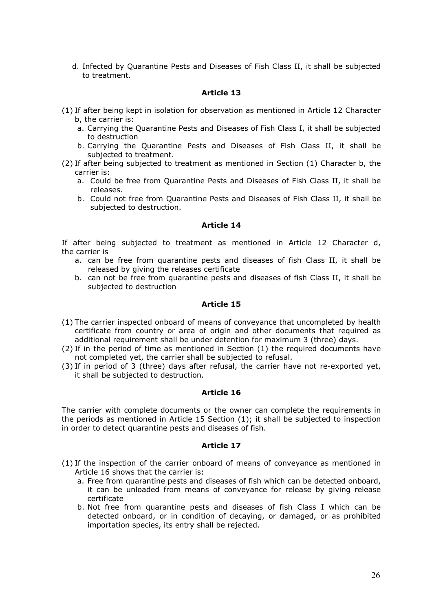d. Infected by Quarantine Pests and Diseases of Fish Class II, it shall be subjected to treatment.

## Article 13

- (1) If after being kept in isolation for observation as mentioned in Article 12 Character b, the carrier is:
	- a. Carrying the Quarantine Pests and Diseases of Fish Class I, it shall be subjected to destruction
	- b. Carrying the Quarantine Pests and Diseases of Fish Class II, it shall be subjected to treatment.
- (2) If after being subjected to treatment as mentioned in Section (1) Character b, the carrier is:
	- a. Could be free from Quarantine Pests and Diseases of Fish Class II, it shall be releases.
	- b. Could not free from Quarantine Pests and Diseases of Fish Class II, it shall be subjected to destruction.

#### Article 14

If after being subjected to treatment as mentioned in Article 12 Character d, the carrier is

- a. can be free from quarantine pests and diseases of fish Class II, it shall be released by giving the releases certificate
- b. can not be free from quarantine pests and diseases of fish Class II, it shall be subjected to destruction

## Article 15

- (1) The carrier inspected onboard of means of conveyance that uncompleted by health certificate from country or area of origin and other documents that required as additional requirement shall be under detention for maximum 3 (three) days.
- (2) If in the period of time as mentioned in Section (1) the required documents have not completed yet, the carrier shall be subjected to refusal.
- (3) If in period of 3 (three) days after refusal, the carrier have not re-exported yet, it shall be subjected to destruction.

### Article 16

The carrier with complete documents or the owner can complete the requirements in the periods as mentioned in Article 15 Section (1); it shall be subjected to inspection in order to detect quarantine pests and diseases of fish.

- (1) If the inspection of the carrier onboard of means of conveyance as mentioned in Article 16 shows that the carrier is:
	- a. Free from quarantine pests and diseases of fish which can be detected onboard, it can be unloaded from means of conveyance for release by giving release certificate
	- b. Not free from quarantine pests and diseases of fish Class I which can be detected onboard, or in condition of decaying, or damaged, or as prohibited importation species, its entry shall be rejected.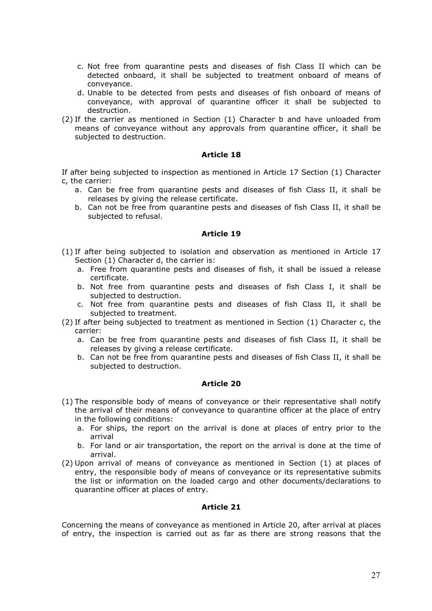- c. Not free from quarantine pests and diseases of fish Class II which can be detected onboard, it shall be subjected to treatment onboard of means of conveyance.
- d. Unable to be detected from pests and diseases of fish onboard of means of conveyance, with approval of quarantine officer it shall be subjected to destruction.
- (2) If the carrier as mentioned in Section (1) Character b and have unloaded from means of conveyance without any approvals from quarantine officer, it shall be subjected to destruction.

If after being subjected to inspection as mentioned in Article 17 Section (1) Character c, the carrier:

- a. Can be free from quarantine pests and diseases of fish Class II, it shall be releases by giving the release certificate.
- b. Can not be free from quarantine pests and diseases of fish Class II, it shall be subjected to refusal.

### Article 19

- (1) If after being subjected to isolation and observation as mentioned in Article 17 Section (1) Character d, the carrier is:
	- a. Free from quarantine pests and diseases of fish, it shall be issued a release certificate.
	- b. Not free from quarantine pests and diseases of fish Class I, it shall be subjected to destruction.
	- c. Not free from quarantine pests and diseases of fish Class II, it shall be subjected to treatment.
- (2) If after being subjected to treatment as mentioned in Section (1) Character c, the carrier:
	- a. Can be free from quarantine pests and diseases of fish Class II, it shall be releases by giving a release certificate.
	- b. Can not be free from quarantine pests and diseases of fish Class II, it shall be subjected to destruction.

#### Article 20

- (1) The responsible body of means of conveyance or their representative shall notify the arrival of their means of conveyance to quarantine officer at the place of entry in the following conditions:
	- a. For ships, the report on the arrival is done at places of entry prior to the arrival
	- b. For land or air transportation, the report on the arrival is done at the time of arrival.
- (2) Upon arrival of means of conveyance as mentioned in Section (1) at places of entry, the responsible body of means of conveyance or its representative submits the list or information on the loaded cargo and other documents/declarations to quarantine officer at places of entry.

### Article 21

Concerning the means of conveyance as mentioned in Article 20, after arrival at places of entry, the inspection is carried out as far as there are strong reasons that the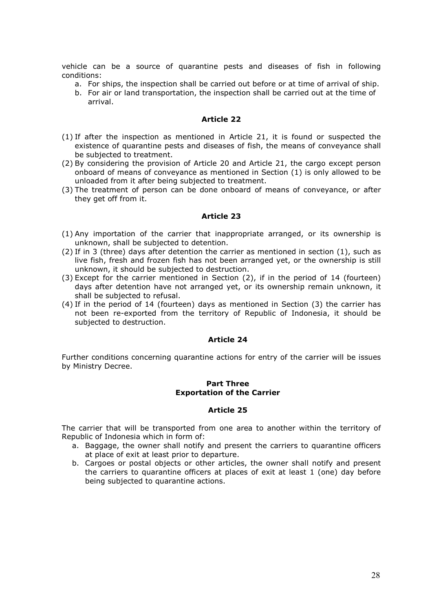vehicle can be a source of quarantine pests and diseases of fish in following conditions:

- a. For ships, the inspection shall be carried out before or at time of arrival of ship.
- b. For air or land transportation, the inspection shall be carried out at the time of arrival.

#### Article 22

- (1) If after the inspection as mentioned in Article 21, it is found or suspected the existence of quarantine pests and diseases of fish, the means of conveyance shall be subjected to treatment.
- (2) By considering the provision of Article 20 and Article 21, the cargo except person onboard of means of conveyance as mentioned in Section (1) is only allowed to be unloaded from it after being subjected to treatment.
- (3) The treatment of person can be done onboard of means of conveyance, or after they get off from it.

#### Article 23

- (1) Any importation of the carrier that inappropriate arranged, or its ownership is unknown, shall be subjected to detention.
- (2) If in 3 (three) days after detention the carrier as mentioned in section (1), such as live fish, fresh and frozen fish has not been arranged yet, or the ownership is still unknown, it should be subjected to destruction.
- (3) Except for the carrier mentioned in Section (2), if in the period of 14 (fourteen) days after detention have not arranged yet, or its ownership remain unknown, it shall be subjected to refusal.
- (4) If in the period of 14 (fourteen) days as mentioned in Section (3) the carrier has not been re-exported from the territory of Republic of Indonesia, it should be subjected to destruction.

#### Article 24

Further conditions concerning quarantine actions for entry of the carrier will be issues by Ministry Decree.

### Part Three Exportation of the Carrier

## Article 25

The carrier that will be transported from one area to another within the territory of Republic of Indonesia which in form of:

- a. Baggage, the owner shall notify and present the carriers to quarantine officers at place of exit at least prior to departure.
- b. Cargoes or postal objects or other articles, the owner shall notify and present the carriers to quarantine officers at places of exit at least 1 (one) day before being subjected to quarantine actions.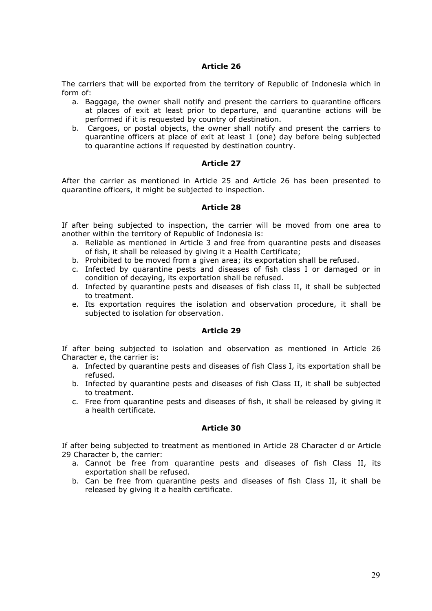The carriers that will be exported from the territory of Republic of Indonesia which in form of:

- a. Baggage, the owner shall notify and present the carriers to quarantine officers at places of exit at least prior to departure, and quarantine actions will be performed if it is requested by country of destination.
- b. Cargoes, or postal objects, the owner shall notify and present the carriers to quarantine officers at place of exit at least 1 (one) day before being subjected to quarantine actions if requested by destination country.

## Article 27

After the carrier as mentioned in Article 25 and Article 26 has been presented to quarantine officers, it might be subjected to inspection.

## Article 28

If after being subjected to inspection, the carrier will be moved from one area to another within the territory of Republic of Indonesia is:

- a. Reliable as mentioned in Article 3 and free from quarantine pests and diseases of fish, it shall be released by giving it a Health Certificate;
- b. Prohibited to be moved from a given area; its exportation shall be refused.
- c. Infected by quarantine pests and diseases of fish class I or damaged or in condition of decaying, its exportation shall be refused.
- d. Infected by quarantine pests and diseases of fish class II, it shall be subjected to treatment.
- e. Its exportation requires the isolation and observation procedure, it shall be subjected to isolation for observation.

## Article 29

If after being subjected to isolation and observation as mentioned in Article 26 Character e, the carrier is:

- a. Infected by quarantine pests and diseases of fish Class I, its exportation shall be refused.
- b. Infected by quarantine pests and diseases of fish Class II, it shall be subjected to treatment.
- c. Free from quarantine pests and diseases of fish, it shall be released by giving it a health certificate.

# Article 30

If after being subjected to treatment as mentioned in Article 28 Character d or Article 29 Character b, the carrier:

- a. Cannot be free from quarantine pests and diseases of fish Class II, its exportation shall be refused.
- b. Can be free from quarantine pests and diseases of fish Class II, it shall be released by giving it a health certificate.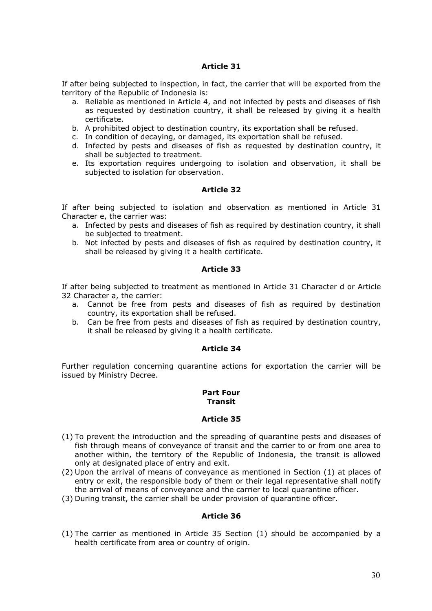If after being subjected to inspection, in fact, the carrier that will be exported from the territory of the Republic of Indonesia is:

- a. Reliable as mentioned in Article 4, and not infected by pests and diseases of fish as requested by destination country, it shall be released by giving it a health certificate.
- b. A prohibited object to destination country, its exportation shall be refused.
- c. In condition of decaying, or damaged, its exportation shall be refused.
- d. Infected by pests and diseases of fish as requested by destination country, it shall be subjected to treatment.
- e. Its exportation requires undergoing to isolation and observation, it shall be subjected to isolation for observation.

## Article 32

If after being subjected to isolation and observation as mentioned in Article 31 Character e, the carrier was:

- a. Infected by pests and diseases of fish as required by destination country, it shall be subjected to treatment.
- b. Not infected by pests and diseases of fish as required by destination country, it shall be released by giving it a health certificate.

## Article 33

If after being subjected to treatment as mentioned in Article 31 Character d or Article 32 Character a, the carrier:

- a. Cannot be free from pests and diseases of fish as required by destination country, its exportation shall be refused.
- b. Can be free from pests and diseases of fish as required by destination country, it shall be released by giving it a health certificate.

### Article 34

Further regulation concerning quarantine actions for exportation the carrier will be issued by Ministry Decree.

#### Part Four **Transit**

## Article 35

- (1) To prevent the introduction and the spreading of quarantine pests and diseases of fish through means of conveyance of transit and the carrier to or from one area to another within, the territory of the Republic of Indonesia, the transit is allowed only at designated place of entry and exit.
- (2) Upon the arrival of means of conveyance as mentioned in Section (1) at places of entry or exit, the responsible body of them or their legal representative shall notify the arrival of means of conveyance and the carrier to local quarantine officer.
- (3) During transit, the carrier shall be under provision of quarantine officer.

### Article 36

(1) The carrier as mentioned in Article 35 Section (1) should be accompanied by a health certificate from area or country of origin.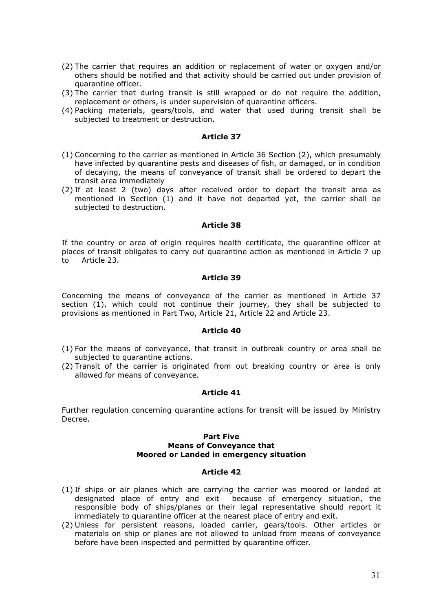- (2) The carrier that requires an addition or replacement of water or oxygen and/or others should be notified and that activity should be carried out under provision of quarantine officer.
- (3) The carrier that during transit is still wrapped or do not require the addition, replacement or others, is under supervision of quarantine officers.
- (4) Packing materials, gears/tools, and water that used during transit shall be subjected to treatment or destruction.

- (1) Concerning to the carrier as mentioned in Article 36 Section (2), which presumably have infected by quarantine pests and diseases of fish, or damaged, or in condition of decaying, the means of conveyance of transit shall be ordered to depart the transit area immediately
- (2) If at least 2 (two) days after received order to depart the transit area as mentioned in Section (1) and it have not departed yet, the carrier shall be subjected to destruction.

#### Article 38

If the country or area of origin requires health certificate, the quarantine officer at places of transit obligates to carry out quarantine action as mentioned in Article 7 up to Article 23.

#### Article 39

Concerning the means of conveyance of the carrier as mentioned in Article 37 section (1), which could not continue their journey, they shall be subjected to provisions as mentioned in Part Two, Article 21, Article 22 and Article 23.

#### Article 40

- (1) For the means of conveyance, that transit in outbreak country or area shall be subjected to quarantine actions.
- (2) Transit of the carrier is originated from out breaking country or area is only allowed for means of conveyance.

### Article 41

Further regulation concerning quarantine actions for transit will be issued by Ministry Decree.

#### Part Five Means of Conveyance that Moored or Landed in emergency situation

- (1) If ships or air planes which are carrying the carrier was moored or landed at designated place of entry and exit because of emergency situation, the responsible body of ships/planes or their legal representative should report it immediately to quarantine officer at the nearest place of entry and exit.
- (2) Unless for persistent reasons, loaded carrier, gears/tools. Other articles or materials on ship or planes are not allowed to unload from means of conveyance before have been inspected and permitted by quarantine officer.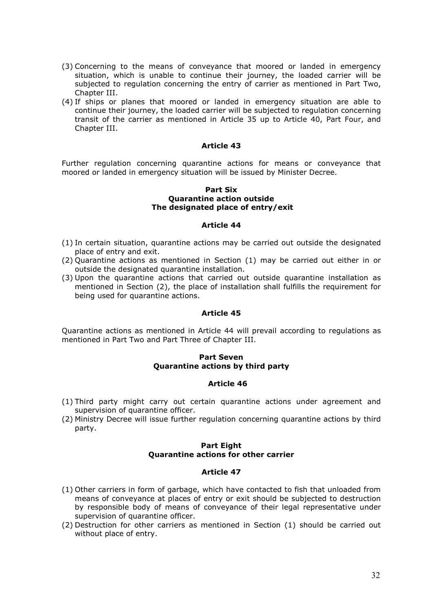- (3) Concerning to the means of conveyance that moored or landed in emergency situation, which is unable to continue their journey, the loaded carrier will be subjected to regulation concerning the entry of carrier as mentioned in Part Two, Chapter III.
- (4) If ships or planes that moored or landed in emergency situation are able to continue their journey, the loaded carrier will be subjected to regulation concerning transit of the carrier as mentioned in Article 35 up to Article 40, Part Four, and Chapter III.

Further regulation concerning quarantine actions for means or conveyance that moored or landed in emergency situation will be issued by Minister Decree.

#### Part Six Quarantine action outside The designated place of entry/exit

#### Article 44

- (1) In certain situation, quarantine actions may be carried out outside the designated place of entry and exit.
- (2) Quarantine actions as mentioned in Section (1) may be carried out either in or outside the designated quarantine installation.
- (3) Upon the quarantine actions that carried out outside quarantine installation as mentioned in Section (2), the place of installation shall fulfills the requirement for being used for quarantine actions.

#### Article 45

Quarantine actions as mentioned in Article 44 will prevail according to regulations as mentioned in Part Two and Part Three of Chapter III.

### Part Seven Quarantine actions by third party

#### Article 46

- (1) Third party might carry out certain quarantine actions under agreement and supervision of quarantine officer.
- (2) Ministry Decree will issue further regulation concerning quarantine actions by third party.

## Part Eight Quarantine actions for other carrier

- (1) Other carriers in form of garbage, which have contacted to fish that unloaded from means of conveyance at places of entry or exit should be subjected to destruction by responsible body of means of conveyance of their legal representative under supervision of quarantine officer.
- (2) Destruction for other carriers as mentioned in Section (1) should be carried out without place of entry.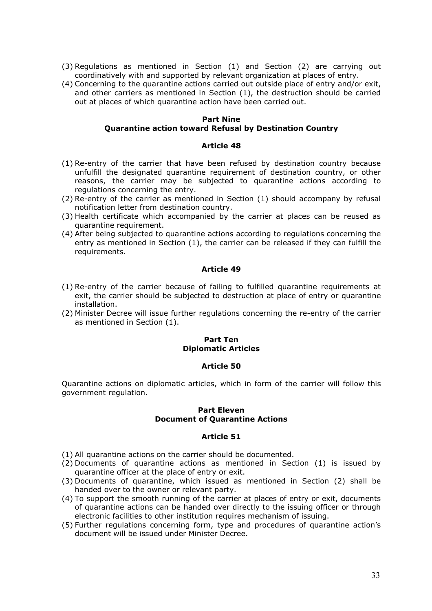- (3) Regulations as mentioned in Section (1) and Section (2) are carrying out coordinatively with and supported by relevant organization at places of entry.
- (4) Concerning to the quarantine actions carried out outside place of entry and/or exit, and other carriers as mentioned in Section (1), the destruction should be carried out at places of which quarantine action have been carried out.

# Part Nine

### Quarantine action toward Refusal by Destination Country

#### Article 48

- (1) Re-entry of the carrier that have been refused by destination country because unfulfill the designated quarantine requirement of destination country, or other reasons, the carrier may be subjected to quarantine actions according to regulations concerning the entry.
- (2) Re-entry of the carrier as mentioned in Section (1) should accompany by refusal notification letter from destination country.
- (3) Health certificate which accompanied by the carrier at places can be reused as quarantine requirement.
- (4) After being subjected to quarantine actions according to regulations concerning the entry as mentioned in Section (1), the carrier can be released if they can fulfill the requirements.

#### Article 49

- (1) Re-entry of the carrier because of failing to fulfilled quarantine requirements at exit, the carrier should be subjected to destruction at place of entry or quarantine installation.
- (2) Minister Decree will issue further regulations concerning the re-entry of the carrier as mentioned in Section (1).

## Part Ten Diplomatic Articles

#### Article 50

Quarantine actions on diplomatic articles, which in form of the carrier will follow this government regulation.

#### Part Eleven Document of Quarantine Actions

- (1) All quarantine actions on the carrier should be documented.
- (2) Documents of quarantine actions as mentioned in Section (1) is issued by quarantine officer at the place of entry or exit.
- (3) Documents of quarantine, which issued as mentioned in Section (2) shall be handed over to the owner or relevant party.
- (4) To support the smooth running of the carrier at places of entry or exit, documents of quarantine actions can be handed over directly to the issuing officer or through electronic facilities to other institution requires mechanism of issuing.
- (5) Further regulations concerning form, type and procedures of quarantine action's document will be issued under Minister Decree.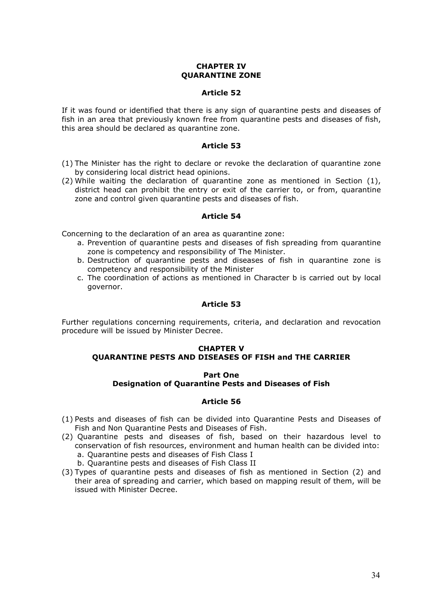## CHAPTER IV QUARANTINE ZONE

### Article 52

If it was found or identified that there is any sign of quarantine pests and diseases of fish in an area that previously known free from quarantine pests and diseases of fish, this area should be declared as quarantine zone.

#### Article 53

- (1) The Minister has the right to declare or revoke the declaration of quarantine zone by considering local district head opinions.
- (2) While waiting the declaration of quarantine zone as mentioned in Section (1), district head can prohibit the entry or exit of the carrier to, or from, quarantine zone and control given quarantine pests and diseases of fish.

#### Article 54

Concerning to the declaration of an area as quarantine zone:

- a. Prevention of quarantine pests and diseases of fish spreading from quarantine zone is competency and responsibility of The Minister.
- b. Destruction of quarantine pests and diseases of fish in quarantine zone is competency and responsibility of the Minister
- c. The coordination of actions as mentioned in Character b is carried out by local governor.

## Article 53

Further regulations concerning requirements, criteria, and declaration and revocation procedure will be issued by Minister Decree.

# CHAPTER V QUARANTINE PESTS AND DISEASES OF FISH and THE CARRIER

#### Part One Designation of Quarantine Pests and Diseases of Fish

- (1) Pests and diseases of fish can be divided into Quarantine Pests and Diseases of Fish and Non Quarantine Pests and Diseases of Fish.
- (2) Quarantine pests and diseases of fish, based on their hazardous level to conservation of fish resources, environment and human health can be divided into: a. Quarantine pests and diseases of Fish Class I
	- b. Quarantine pests and diseases of Fish Class II
- (3) Types of quarantine pests and diseases of fish as mentioned in Section (2) and their area of spreading and carrier, which based on mapping result of them, will be issued with Minister Decree.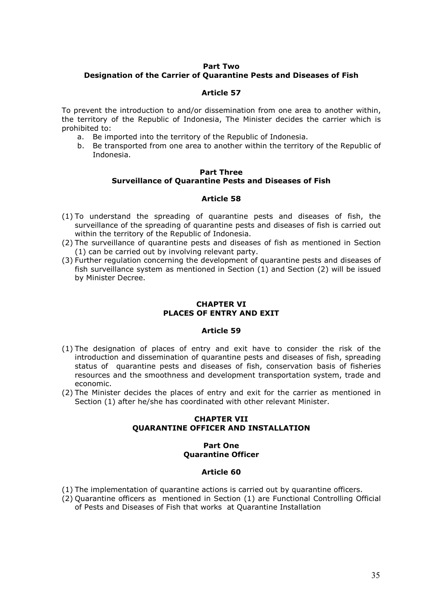#### Part Two

# Designation of the Carrier of Quarantine Pests and Diseases of Fish

### Article 57

To prevent the introduction to and/or dissemination from one area to another within, the territory of the Republic of Indonesia, The Minister decides the carrier which is prohibited to:

- a. Be imported into the territory of the Republic of Indonesia.
- b. Be transported from one area to another within the territory of the Republic of Indonesia.

## Part Three Surveillance of Quarantine Pests and Diseases of Fish

### Article 58

- (1) To understand the spreading of quarantine pests and diseases of fish, the surveillance of the spreading of quarantine pests and diseases of fish is carried out within the territory of the Republic of Indonesia.
- (2) The surveillance of quarantine pests and diseases of fish as mentioned in Section (1) can be carried out by involving relevant party.
- (3) Further regulation concerning the development of quarantine pests and diseases of fish surveillance system as mentioned in Section (1) and Section (2) will be issued by Minister Decree.

# CHAPTER VI PLACES OF ENTRY AND EXIT

#### Article 59

- (1) The designation of places of entry and exit have to consider the risk of the introduction and dissemination of quarantine pests and diseases of fish, spreading status of quarantine pests and diseases of fish, conservation basis of fisheries resources and the smoothness and development transportation system, trade and economic.
- (2) The Minister decides the places of entry and exit for the carrier as mentioned in Section (1) after he/she has coordinated with other relevant Minister.

### CHAPTER VII QUARANTINE OFFICER AND INSTALLATION

#### Part One Quarantine Officer

- (1) The implementation of quarantine actions is carried out by quarantine officers.
- (2) Quarantine officers as mentioned in Section (1) are Functional Controlling Official of Pests and Diseases of Fish that works at Quarantine Installation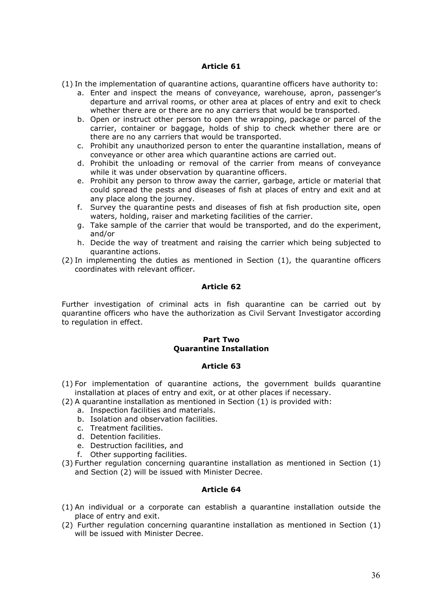(1) In the implementation of quarantine actions, quarantine officers have authority to:

- a. Enter and inspect the means of conveyance, warehouse, apron, passenger's departure and arrival rooms, or other area at places of entry and exit to check whether there are or there are no any carriers that would be transported.
- b. Open or instruct other person to open the wrapping, package or parcel of the carrier, container or baggage, holds of ship to check whether there are or there are no any carriers that would be transported.
- c. Prohibit any unauthorized person to enter the quarantine installation, means of conveyance or other area which quarantine actions are carried out.
- d. Prohibit the unloading or removal of the carrier from means of conveyance while it was under observation by quarantine officers.
- e. Prohibit any person to throw away the carrier, garbage, article or material that could spread the pests and diseases of fish at places of entry and exit and at any place along the journey.
- f. Survey the quarantine pests and diseases of fish at fish production site, open waters, holding, raiser and marketing facilities of the carrier.
- g. Take sample of the carrier that would be transported, and do the experiment, and/or
- h. Decide the way of treatment and raising the carrier which being subjected to quarantine actions.
- (2) In implementing the duties as mentioned in Section (1), the quarantine officers coordinates with relevant officer.

## Article 62

Further investigation of criminal acts in fish quarantine can be carried out by quarantine officers who have the authorization as Civil Servant Investigator according to regulation in effect.

## Part Two Quarantine Installation

### Article 63

- (1) For implementation of quarantine actions, the government builds quarantine installation at places of entry and exit, or at other places if necessary.
- (2) A quarantine installation as mentioned in Section (1) is provided with:
	- a. Inspection facilities and materials.
	- b. Isolation and observation facilities.
	- c. Treatment facilities.
	- d. Detention facilities.
	- e. Destruction facilities, and
	- f. Other supporting facilities.
- (3) Further regulation concerning quarantine installation as mentioned in Section (1) and Section (2) will be issued with Minister Decree.

- (1) An individual or a corporate can establish a quarantine installation outside the place of entry and exit.
- (2) Further regulation concerning quarantine installation as mentioned in Section (1) will be issued with Minister Decree.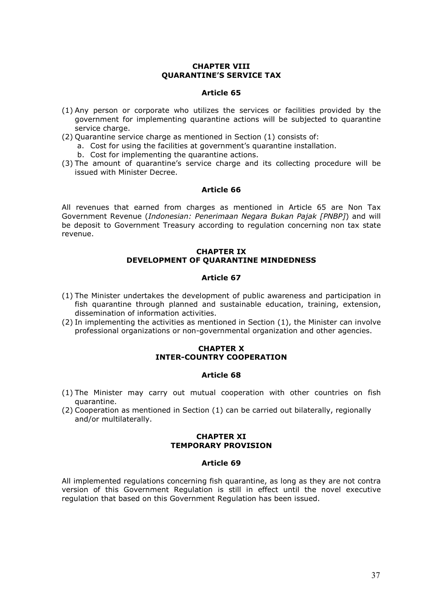## CHAPTER VIII QUARANTINE'S SERVICE TAX

#### Article 65

- (1) Any person or corporate who utilizes the services or facilities provided by the government for implementing quarantine actions will be subjected to quarantine service charge.
- (2) Quarantine service charge as mentioned in Section (1) consists of:
	- a. Cost for using the facilities at government's quarantine installation.
	- b. Cost for implementing the quarantine actions.
- (3) The amount of quarantine's service charge and its collecting procedure will be issued with Minister Decree.

#### Article 66

All revenues that earned from charges as mentioned in Article 65 are Non Tax Government Revenue (Indonesian: Penerimaan Negara Bukan Pajak [PNBP]) and will be deposit to Government Treasury according to regulation concerning non tax state revenue.

## CHAPTER IX DEVELOPMENT OF QUARANTINE MINDEDNESS

#### Article 67

- (1) The Minister undertakes the development of public awareness and participation in fish quarantine through planned and sustainable education, training, extension, dissemination of information activities.
- (2) In implementing the activities as mentioned in Section (1), the Minister can involve professional organizations or non-governmental organization and other agencies.

## CHAPTER X INTER-COUNTRY COOPERATION

### Article 68

- (1) The Minister may carry out mutual cooperation with other countries on fish quarantine.
- (2) Cooperation as mentioned in Section (1) can be carried out bilaterally, regionally and/or multilaterally.

#### CHAPTER XI TEMPORARY PROVISION

#### Article 69

All implemented regulations concerning fish quarantine, as long as they are not contra version of this Government Regulation is still in effect until the novel executive regulation that based on this Government Regulation has been issued.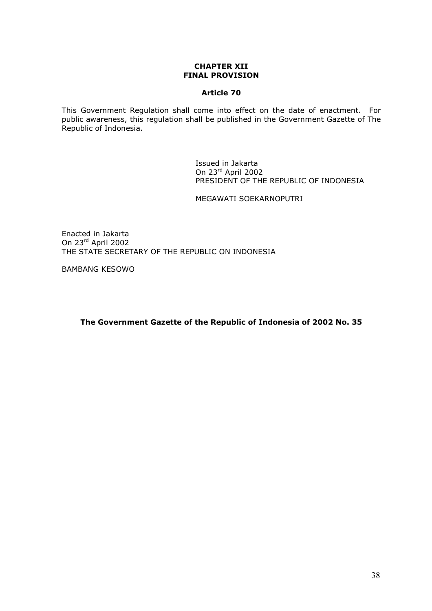### CHAPTER XII FINAL PROVISION

## Article 70

This Government Regulation shall come into effect on the date of enactment. For public awareness, this regulation shall be published in the Government Gazette of The Republic of Indonesia.

> Issued in Jakarta On 23rd April 2002 PRESIDENT OF THE REPUBLIC OF INDONESIA

MEGAWATI SOEKARNOPUTRI

Enacted in Jakarta On 23rd April 2002 THE STATE SECRETARY OF THE REPUBLIC ON INDONESIA

BAMBANG KESOWO

The Government Gazette of the Republic of Indonesia of 2002 No. 35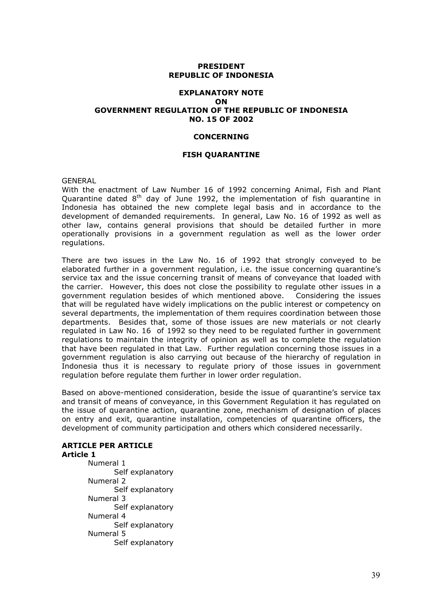### PRESIDENT REPUBLIC OF INDONESIA

#### EXPLANATORY NOTE ON GOVERNMENT REGULATION OF THE REPUBLIC OF INDONESIA NO. 15 OF 2002

#### CONCERNING

#### FISH QUARANTINE

GENERAL

With the enactment of Law Number 16 of 1992 concerning Animal, Fish and Plant Quarantine dated  $8<sup>th</sup>$  day of June 1992, the implementation of fish quarantine in Indonesia has obtained the new complete legal basis and in accordance to the development of demanded requirements. In general, Law No. 16 of 1992 as well as other law, contains general provisions that should be detailed further in more operationally provisions in a government regulation as well as the lower order regulations.

There are two issues in the Law No. 16 of 1992 that strongly conveyed to be elaborated further in a government regulation, i.e. the issue concerning quarantine's service tax and the issue concerning transit of means of conveyance that loaded with the carrier. However, this does not close the possibility to regulate other issues in a government regulation besides of which mentioned above. Considering the issues that will be regulated have widely implications on the public interest or competency on several departments, the implementation of them requires coordination between those departments. Besides that, some of those issues are new materials or not clearly regulated in Law No. 16 of 1992 so they need to be regulated further in government regulations to maintain the integrity of opinion as well as to complete the regulation that have been regulated in that Law. Further regulation concerning those issues in a government regulation is also carrying out because of the hierarchy of regulation in Indonesia thus it is necessary to regulate priory of those issues in government regulation before regulate them further in lower order regulation.

Based on above-mentioned consideration, beside the issue of quarantine's service tax and transit of means of conveyance, in this Government Regulation it has regulated on the issue of quarantine action, quarantine zone, mechanism of designation of places on entry and exit, quarantine installation, competencies of quarantine officers, the development of community participation and others which considered necessarily.

#### ARTICLE PER ARTICLE Article 1

 Numeral 1 Self explanatory Numeral 2 Self explanatory Numeral 3 Self explanatory Numeral 4 Self explanatory Numeral 5 Self explanatory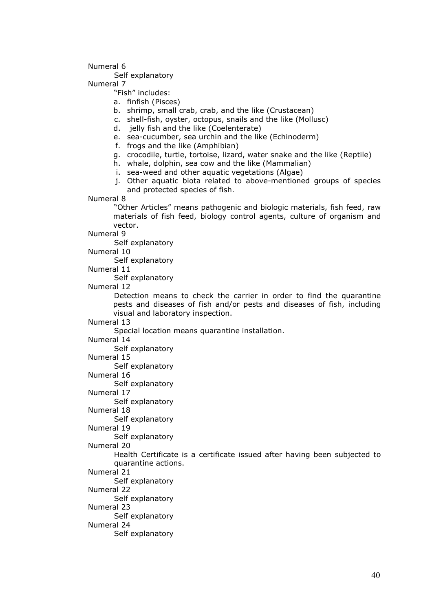### Numeral 6

Self explanatory

Numeral 7

"Fish" includes:

- a. finfish (Pisces)
- b. shrimp, small crab, crab, and the like (Crustacean)
- c. shell-fish, oyster, octopus, snails and the like (Mollusc)
- d. jelly fish and the like (Coelenterate)
- e. sea-cucumber, sea urchin and the like (Echinoderm)
- f. frogs and the like (Amphibian)
- g. crocodile, turtle, tortoise, lizard, water snake and the like (Reptile)
- h. whale, dolphin, sea cow and the like (Mammalian)
- i. sea-weed and other aquatic vegetations (Algae)
- j. Other aquatic biota related to above-mentioned groups of species and protected species of fish.

Numeral 8

 "Other Articles" means pathogenic and biologic materials, fish feed, raw materials of fish feed, biology control agents, culture of organism and vector.

Numeral 9

Self explanatory

Numeral 10

Self explanatory

Numeral 11

Self explanatory

Numeral 12

 Detection means to check the carrier in order to find the quarantine pests and diseases of fish and/or pests and diseases of fish, including visual and laboratory inspection.

Numeral 13

Special location means quarantine installation.

Numeral 14

Self explanatory

Numeral 15

Self explanatory

Numeral 16

Self explanatory

Numeral 17

Self explanatory

Numeral 18

Self explanatory

Numeral 19

Self explanatory

Numeral 20

Health Certificate is a certificate issued after having been subjected to quarantine actions.

Numeral 21

- Self explanatory
- Numeral 22

Self explanatory

Numeral 23

Self explanatory

Numeral 24

Self explanatory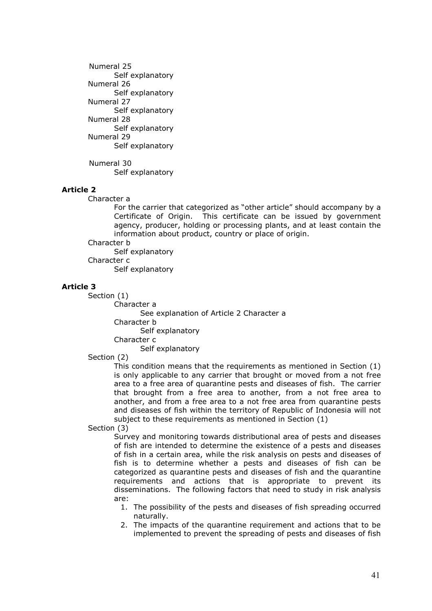Numeral 25 Self explanatory Numeral 26 Self explanatory Numeral 27 Self explanatory Numeral 28 Self explanatory Numeral 29 Self explanatory

Numeral 30 Self explanatory

# Article 2

Character a

For the carrier that categorized as "other article" should accompany by a Certificate of Origin. This certificate can be issued by government agency, producer, holding or processing plants, and at least contain the information about product, country or place of origin.

Character b

Self explanatory

Character c

Self explanatory

### Article 3

Section (1)

Character a

See explanation of Article 2 Character a

Character b

Self explanatory

Character c

Self explanatory

Section (2)

This condition means that the requirements as mentioned in Section (1) is only applicable to any carrier that brought or moved from a not free area to a free area of quarantine pests and diseases of fish. The carrier that brought from a free area to another, from a not free area to another, and from a free area to a not free area from quarantine pests and diseases of fish within the territory of Republic of Indonesia will not subject to these requirements as mentioned in Section (1)

Section (3)

Survey and monitoring towards distributional area of pests and diseases of fish are intended to determine the existence of a pests and diseases of fish in a certain area, while the risk analysis on pests and diseases of fish is to determine whether a pests and diseases of fish can be categorized as quarantine pests and diseases of fish and the quarantine requirements and actions that is appropriate to prevent its disseminations. The following factors that need to study in risk analysis are:

- 1. The possibility of the pests and diseases of fish spreading occurred naturally.
- 2. The impacts of the quarantine requirement and actions that to be implemented to prevent the spreading of pests and diseases of fish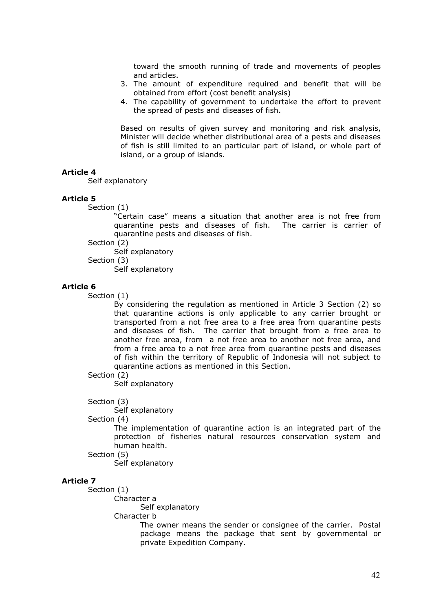toward the smooth running of trade and movements of peoples and articles.

- 3. The amount of expenditure required and benefit that will be obtained from effort (cost benefit analysis)
- 4. The capability of government to undertake the effort to prevent the spread of pests and diseases of fish.

Based on results of given survey and monitoring and risk analysis, Minister will decide whether distributional area of a pests and diseases of fish is still limited to an particular part of island, or whole part of island, or a group of islands.

### Article 4

Self explanatory

#### Article 5

Section (1)

"Certain case" means a situation that another area is not free from quarantine pests and diseases of fish. The carrier is carrier of quarantine pests and diseases of fish.

Section (2)

Self explanatory

Section (3)

Self explanatory

#### Article 6

Section (1)

By considering the regulation as mentioned in Article 3 Section (2) so that quarantine actions is only applicable to any carrier brought or transported from a not free area to a free area from quarantine pests and diseases of fish. The carrier that brought from a free area to another free area, from a not free area to another not free area, and from a free area to a not free area from quarantine pests and diseases of fish within the territory of Republic of Indonesia will not subject to quarantine actions as mentioned in this Section.

# Section (2)

Self explanatory

Section (3)

Self explanatory

# Section (4)

The implementation of quarantine action is an integrated part of the protection of fisheries natural resources conservation system and human health.

#### Section (5)

Self explanatory

#### Article 7

Section (1)

Character a

Self explanatory

Character b

The owner means the sender or consignee of the carrier. Postal package means the package that sent by governmental or private Expedition Company.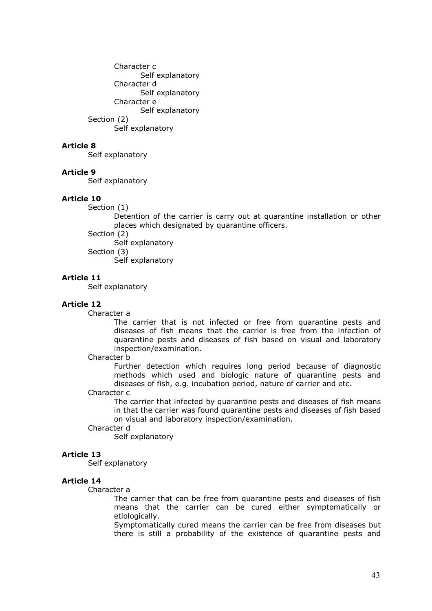Character c Self explanatory Character d Self explanatory Character e Self explanatory Section (2)

Self explanatory

## Article 8

Self explanatory

### Article 9

Self explanatory

### Article 10

Section (1)

Detention of the carrier is carry out at quarantine installation or other places which designated by quarantine officers.

Section (2)

 Self explanatory Section (3)

Self explanatory

## Article 11

Self explanatory

## Article 12

Character a

The carrier that is not infected or free from quarantine pests and diseases of fish means that the carrier is free from the infection of quarantine pests and diseases of fish based on visual and laboratory inspection/examination.

### Character b

Further detection which requires long period because of diagnostic methods which used and biologic nature of quarantine pests and diseases of fish, e.g. incubation period, nature of carrier and etc.

## Character c

The carrier that infected by quarantine pests and diseases of fish means in that the carrier was found quarantine pests and diseases of fish based on visual and laboratory inspection/examination.

#### Character d

Self explanatory

### Article 13

Self explanatory

### Article 14

### Character a

The carrier that can be free from quarantine pests and diseases of fish means that the carrier can be cured either symptomatically or etiologically.

Symptomatically cured means the carrier can be free from diseases but there is still a probability of the existence of quarantine pests and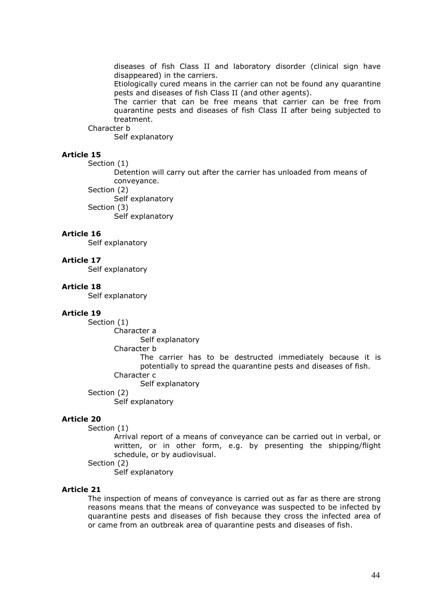diseases of fish Class II and laboratory disorder (clinical sign have disappeared) in the carriers.

Etiologically cured means in the carrier can not be found any quarantine pests and diseases of fish Class II (and other agents).

The carrier that can be free means that carrier can be free from quarantine pests and diseases of fish Class II after being subjected to treatment.

Character b

Self explanatory

# Article 15

Section (1)

Detention will carry out after the carrier has unloaded from means of conveyance.

Section (2)

Self explanatory

Section (3)

Self explanatory

## Article 16

Self explanatory

#### Article 17

Self explanatory

#### Article 18

Self explanatory

#### Article 19

Section (1)

Character a

Self explanatory

Character b

The carrier has to be destructed immediately because it is potentially to spread the quarantine pests and diseases of fish. Character c

Self explanatory

Section (2)

Self explanatory

#### Article 20

Section (1)

Arrival report of a means of conveyance can be carried out in verbal, or written, or in other form, e.g. by presenting the shipping/flight schedule, or by audiovisual.

Section (2)

Self explanatory

## Article 21

The inspection of means of conveyance is carried out as far as there are strong reasons means that the means of conveyance was suspected to be infected by quarantine pests and diseases of fish because they cross the infected area of or came from an outbreak area of quarantine pests and diseases of fish.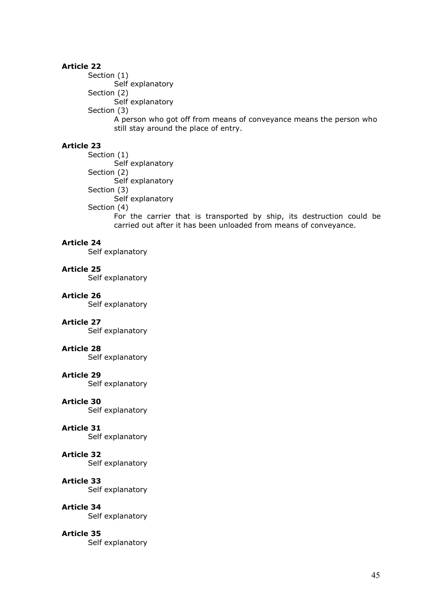Section (1) Self explanatory Section (2) Self explanatory Section (3) A person who got off from means of conveyance means the person who still stay around the place of entry.

# Article 23

 Section (1) Self explanatory Section (2) Self explanatory Section (3) Self explanatory Section (4)

For the carrier that is transported by ship, its destruction could be carried out after it has been unloaded from means of conveyance.

## Article 24

Self explanatory

## Article 25

Self explanatory

### Article 26

Self explanatory

# Article 27

Self explanatory

## Article 28

Self explanatory

### Article 29

Self explanatory

### Article 30

Self explanatory

### Article 31

Self explanatory

### Article 32

Self explanatory

### Article 33

Self explanatory

### Article 34

Self explanatory

### Article 35

Self explanatory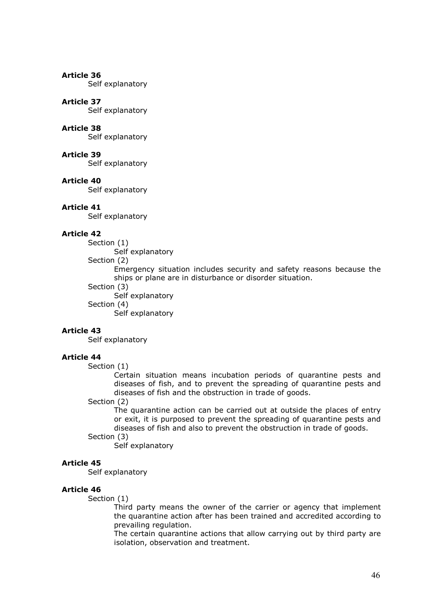Self explanatory

## Article 37

Self explanatory

# Article 38

Self explanatory

# Article 39

Self explanatory

#### Article 40

Self explanatory

#### Article 41

Self explanatory

## Article 42

Section (1)

Self explanatory

Section (2)

Emergency situation includes security and safety reasons because the ships or plane are in disturbance or disorder situation.

- Section (3)
	- Self explanatory

Section (4)

Self explanatory

### Article 43

Self explanatory

## Article 44

Section (1)

Certain situation means incubation periods of quarantine pests and diseases of fish, and to prevent the spreading of quarantine pests and diseases of fish and the obstruction in trade of goods.

# Section (2)

The quarantine action can be carried out at outside the places of entry or exit, it is purposed to prevent the spreading of quarantine pests and diseases of fish and also to prevent the obstruction in trade of goods.

## Section (3)

Self explanatory

#### Article 45

Self explanatory

#### Article 46

Section (1)

Third party means the owner of the carrier or agency that implement the quarantine action after has been trained and accredited according to prevailing regulation.

The certain quarantine actions that allow carrying out by third party are isolation, observation and treatment.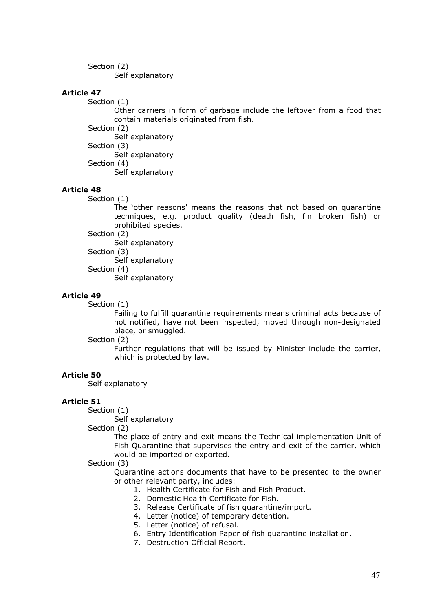Section (2) Self explanatory

# Article 47

Section (1)

Other carriers in form of garbage include the leftover from a food that contain materials originated from fish.

Section (2)

Self explanatory

Section (3)

 Self explanatory Section (4)

Self explanatory

# Article 48

Section (1)

The 'other reasons' means the reasons that not based on quarantine techniques, e.g. product quality (death fish, fin broken fish) or prohibited species.

Section (2)

Self explanatory

 Section (3) Self explanatory

Section (4)

Self explanatory

## Article 49

Section (1)

Failing to fulfill quarantine requirements means criminal acts because of not notified, have not been inspected, moved through non-designated place, or smuggled.

### Section (2)

Further regulations that will be issued by Minister include the carrier, which is protected by law.

### Article 50

Self explanatory

### Article 51

Section (1)

Self explanatory

Section (2)

The place of entry and exit means the Technical implementation Unit of Fish Quarantine that supervises the entry and exit of the carrier, which would be imported or exported.

### Section (3)

Quarantine actions documents that have to be presented to the owner or other relevant party, includes:

- 1. Health Certificate for Fish and Fish Product.
- 2. Domestic Health Certificate for Fish.
- 3. Release Certificate of fish quarantine/import.
- 4. Letter (notice) of temporary detention.
- 5. Letter (notice) of refusal.
- 6. Entry Identification Paper of fish quarantine installation.
- 7. Destruction Official Report.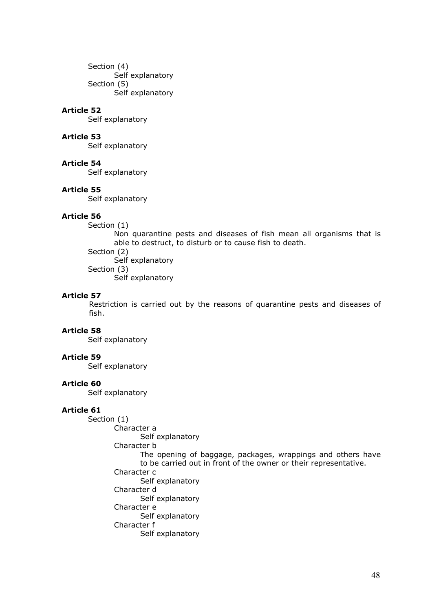Section (4) Self explanatory Section (5) Self explanatory

### Article 52

Self explanatory

## Article 53

Self explanatory

## Article 54

Self explanatory

#### Article 55

Self explanatory

# Article 56

Section (1)

Non quarantine pests and diseases of fish mean all organisms that is able to destruct, to disturb or to cause fish to death.

 Section (2) Self explanatory Section (3) Self explanatory

#### Article 57

 Restriction is carried out by the reasons of quarantine pests and diseases of fish.

# Article 58

Self explanatory

## Article 59

Self explanatory

### Article 60

Self explanatory

# Article 61

 Section (1) Character a

Self explanatory

Character b

The opening of baggage, packages, wrappings and others have to be carried out in front of the owner or their representative. Character c Self explanatory

Character d

 Self explanatory Character e

Self explanatory

# Character f

Self explanatory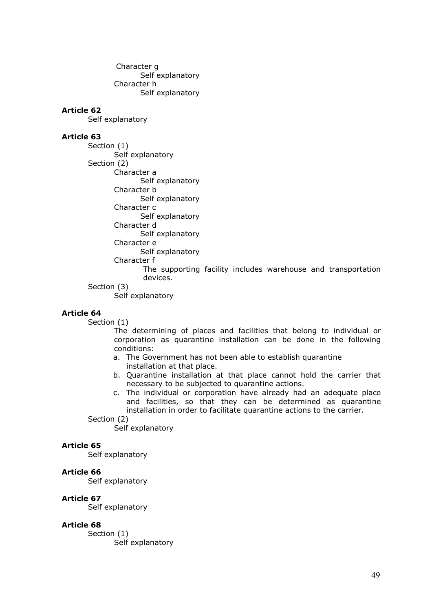Character g Self explanatory Character h Self explanatory

## Article 62

Self explanatory

### Article 63

 Section (1) Self explanatory Section (2) Character a Self explanatory Character b Self explanatory Character c

Self explanatory

Character d

Self explanatory

Character e

Self explanatory

Character f

 The supporting facility includes warehouse and transportation devices.

#### Section (3)

Self explanatory

## Article 64

Section (1)

The determining of places and facilities that belong to individual or corporation as quarantine installation can be done in the following conditions:

- a. The Government has not been able to establish quarantine installation at that place.
- b. Quarantine installation at that place cannot hold the carrier that necessary to be subjected to quarantine actions.
- c. The individual or corporation have already had an adequate place and facilities, so that they can be determined as quarantine installation in order to facilitate quarantine actions to the carrier.

#### Section (2)

Self explanatory

### Article 65

Self explanatory

### Article 66

Self explanatory

### Article 67

Self explanatory

## Article 68

 Section (1) Self explanatory